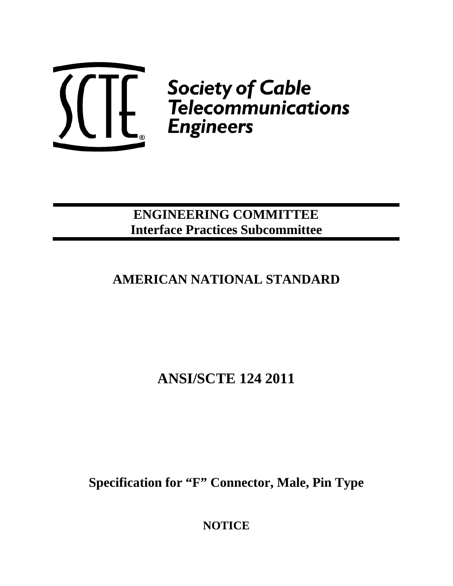

 $\left(\begin{matrix} 1 & 1 \ 1 & 1 \end{matrix}\right)$  Society of Cable<br>Telecommunications<br>Engineers

## **ENGINEERING COMMITTEE Interface Practices Subcommittee**

# **AMERICAN NATIONAL STANDARD**

**ANSI/SCTE 124 2011** 

**Specification for "F" Connector, Male, Pin Type** 

**NOTICE**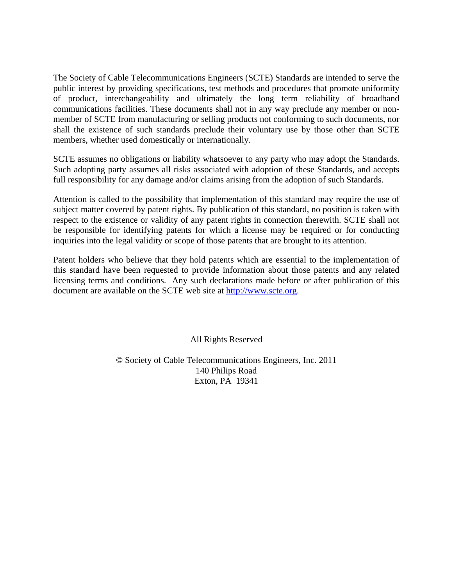The Society of Cable Telecommunications Engineers (SCTE) Standards are intended to serve the public interest by providing specifications, test methods and procedures that promote uniformity of product, interchangeability and ultimately the long term reliability of broadband communications facilities. These documents shall not in any way preclude any member or nonmember of SCTE from manufacturing or selling products not conforming to such documents, nor shall the existence of such standards preclude their voluntary use by those other than SCTE members, whether used domestically or internationally.

SCTE assumes no obligations or liability whatsoever to any party who may adopt the Standards. Such adopting party assumes all risks associated with adoption of these Standards, and accepts full responsibility for any damage and/or claims arising from the adoption of such Standards.

Attention is called to the possibility that implementation of this standard may require the use of subject matter covered by patent rights. By publication of this standard, no position is taken with respect to the existence or validity of any patent rights in connection therewith. SCTE shall not be responsible for identifying patents for which a license may be required or for conducting inquiries into the legal validity or scope of those patents that are brought to its attention.

Patent holders who believe that they hold patents which are essential to the implementation of this standard have been requested to provide information about those patents and any related licensing terms and conditions. Any such declarations made before or after publication of this document are available on the SCTE web site at [http://www.scte.org](http://www.scte.org/).

All Rights Reserved

© Society of Cable Telecommunications Engineers, Inc. 2011 140 Philips Road Exton, PA 19341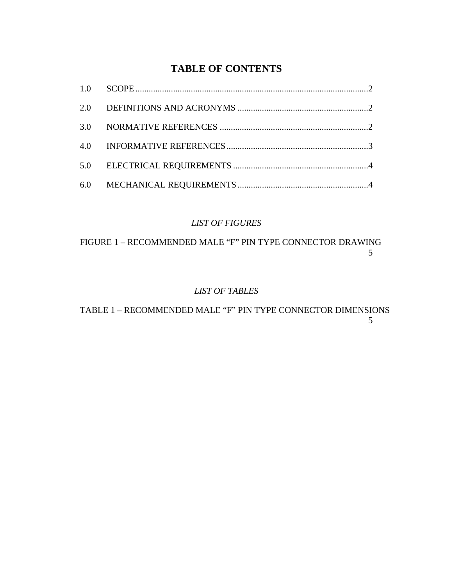## **TABLE OF CONTENTS**

## *LIST OF FIGURES*

[FIGURE 1 – RECOMMENDED MALE "F" PIN TYPE CONNECTOR DRAWING](#page-6-0) 5

### *LIST OF TABLES*

[TABLE 1 – RECOMMENDED MALE "F" PIN TYPE CONNECTOR DIMENSIONS](#page-6-0) 5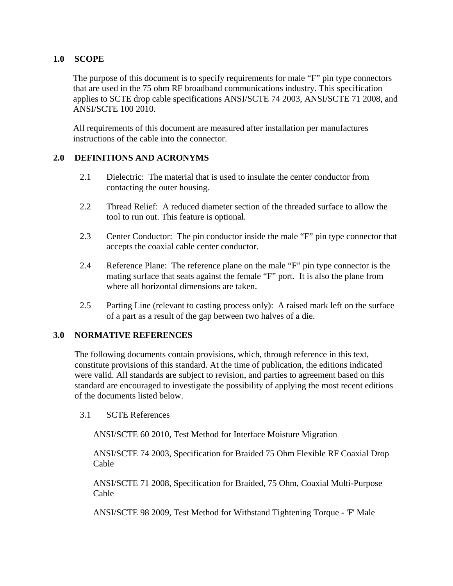#### <span id="page-3-0"></span>**1.0 SCOPE**

The purpose of this document is to specify requirements for male "F" pin type connectors that are used in the 75 ohm RF broadband communications industry. This specification applies to SCTE drop cable specifications ANSI/SCTE 74 2003, ANSI/SCTE 71 2008, and ANSI/SCTE 100 2010.

All requirements of this document are measured after installation per manufactures instructions of the cable into the connector.

#### **2.0 DEFINITIONS AND ACRONYMS**

- 2.1 Dielectric: The material that is used to insulate the center conductor from contacting the outer housing.
- 2.2 Thread Relief: A reduced diameter section of the threaded surface to allow the tool to run out. This feature is optional.
- 2.3 Center Conductor: The pin conductor inside the male "F" pin type connector that accepts the coaxial cable center conductor.
- 2.4 Reference Plane: The reference plane on the male "F" pin type connector is the mating surface that seats against the female "F" port. It is also the plane from where all horizontal dimensions are taken.
- 2.5 Parting Line (relevant to casting process only): A raised mark left on the surface of a part as a result of the gap between two halves of a die.

#### **3.0 NORMATIVE REFERENCES**

The following documents contain provisions, which, through reference in this text, constitute provisions of this standard. At the time of publication, the editions indicated were valid. All standards are subject to revision, and parties to agreement based on this standard are encouraged to investigate the possibility of applying the most recent editions of the documents listed below.

3.1 SCTE References

ANSI/SCTE 60 2010, Test Method for Interface Moisture Migration

ANSI/SCTE 74 2003, Specification for Braided 75 Ohm Flexible RF Coaxial Drop Cable

ANSI/SCTE 71 2008, Specification for Braided, 75 Ohm, Coaxial Multi-Purpose Cable

ANSI/SCTE 98 2009, Test Method for Withstand Tightening Torque - 'F' Male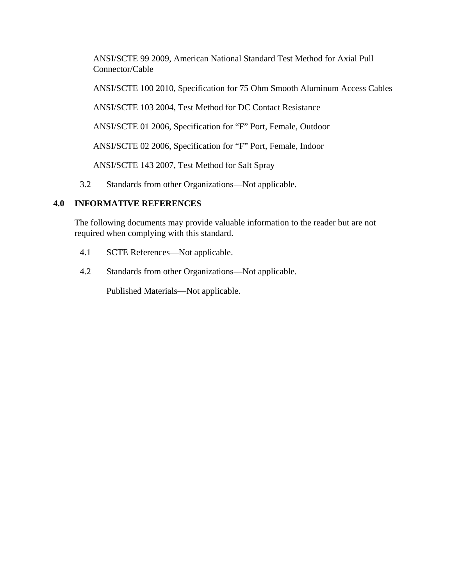<span id="page-4-0"></span>ANSI/SCTE 99 2009, American National Standard Test Method for Axial Pull Connector/Cable

ANSI/SCTE 100 2010, Specification for 75 Ohm Smooth Aluminum Access Cables

ANSI/SCTE 103 2004, Test Method for DC Contact Resistance

ANSI/SCTE 01 2006, Specification for "F" Port, Female, Outdoor

ANSI/SCTE 02 2006, Specification for "F" Port, Female, Indoor

ANSI/SCTE 143 2007, Test Method for Salt Spray

3.2 Standards from other Organizations—Not applicable.

### **4.0 INFORMATIVE REFERENCES**

The following documents may provide valuable information to the reader but are not required when complying with this standard.

- 4.1 SCTE References—Not applicable.
- 4.2 Standards from other Organizations—Not applicable.

Published Materials—Not applicable.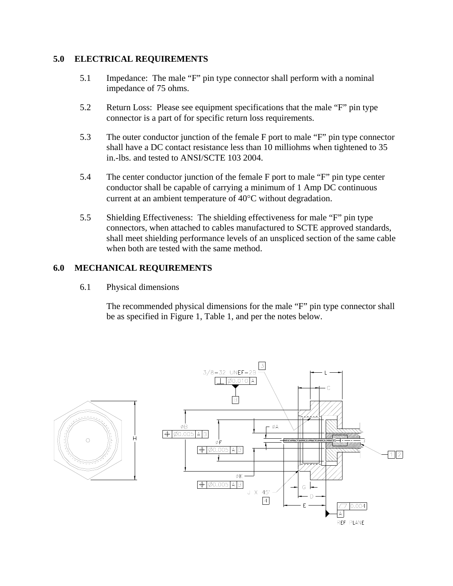#### <span id="page-5-0"></span>**5.0 ELECTRICAL REQUIREMENTS**

- 5.1 Impedance: The male "F" pin type connector shall perform with a nominal impedance of 75 ohms.
- 5.2 Return Loss: Please see equipment specifications that the male "F" pin type connector is a part of for specific return loss requirements.
- 5.3 The outer conductor junction of the female F port to male "F" pin type connector shall have a DC contact resistance less than 10 milliohms when tightened to 35 in.-lbs. and tested to ANSI/SCTE 103 2004.
- 5.4 The center conductor junction of the female F port to male "F" pin type center conductor shall be capable of carrying a minimum of 1 Amp DC continuous current at an ambient temperature of 40°C without degradation.
- 5.5 Shielding Effectiveness: The shielding effectiveness for male "F" pin type connectors, when attached to cables manufactured to SCTE approved standards, shall meet shielding performance levels of an unspliced section of the same cable when both are tested with the same method.

#### **6.0 MECHANICAL REQUIREMENTS**

6.1 Physical dimensions

The recommended physical dimensions for the male "F" pin type connector shall be as specified in Figure 1, Table 1, and per the notes below.

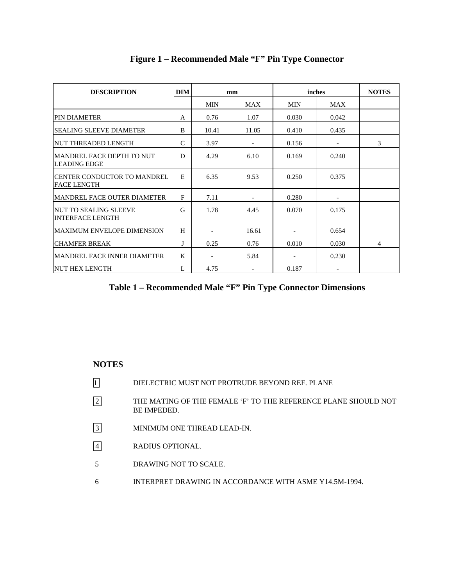<span id="page-6-0"></span>

| <b>DESCRIPTION</b>                                 |              | <b>DIM</b><br>mm         |            | inches |            | <b>NOTES</b> |
|----------------------------------------------------|--------------|--------------------------|------------|--------|------------|--------------|
|                                                    |              | MIN                      | <b>MAX</b> | MIN    | <b>MAX</b> |              |
| <b>PIN DIAMETER</b>                                |              | 0.76                     | 1.07       | 0.030  | 0.042      |              |
| <b>SEALING SLEEVE DIAMETER</b>                     | B            | 10.41                    | 11.05      | 0.410  | 0.435      |              |
| <b>NUT THREADED LENGTH</b>                         | $\mathsf{C}$ | 3.97                     |            | 0.156  | -          | 3            |
| MANDREL FACE DEPTH TO NUT<br><b>LEADING EDGE</b>   | D            | 4.29                     | 6.10       | 0.169  | 0.240      |              |
| <b>CENTER CONDUCTOR TO MANDREL</b><br> FACE LENGTH |              | 6.35                     | 9.53       | 0.250  | 0.375      |              |
| MANDREL FACE OUTER DIAMETER                        | F            | 7.11                     |            | 0.280  |            |              |
| INUT TO SEALING SLEEVE<br><b>INTERFACE LENGTH</b>  | G            | 1.78                     | 4.45       | 0.070  | 0.175      |              |
| <b>MAXIMUM ENVELOPE DIMENSION</b>                  | H            |                          | 16.61      |        | 0.654      |              |
| <b>CHAMFER BREAK</b>                               | J            | 0.25                     | 0.76       | 0.010  | 0.030      | 4            |
| MANDREL FACE INNER DIAMETER                        | K            | $\overline{\phantom{a}}$ | 5.84       |        | 0.230      |              |
| <b>NUT HEX LENGTH</b>                              | L            | 4.75                     |            | 0.187  |            |              |

## **Figure 1 – Recommended Male "F" Pin Type Connector**

## **Table 1 – Recommended Male "F" Pin Type Connector Dimensions**

#### **NOTES**

- 1 DIELECTRIC MUST NOT PROTRUDE BEYOND REF. PLANE
- 2 THE MATING OF THE FEMALE 'F' TO THE REFERENCE PLANE SHOULD NOT BE IMPEDED.
- 3 MINIMUM ONE THREAD LEAD-IN.
- 4 RADIUS OPTIONAL.
- 5 DRAWING NOT TO SCALE.
- 6 INTERPRET DRAWING IN ACCORDANCE WITH ASME Y14.5M-1994.